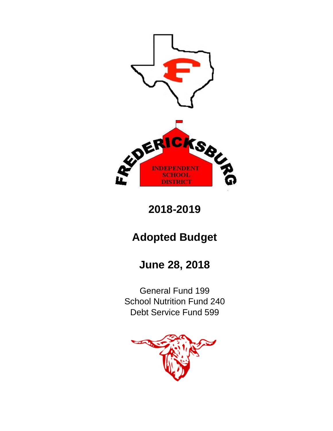

**2018-2019**

# **Adopted Budget**

# **June 28, 2018**

Debt Service Fund 599 General Fund 199 School Nutrition Fund 240

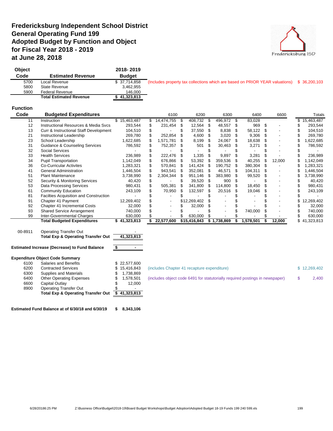## **Fredericksburg Independent School District General Operating Fund 199 Adopted Budget by Function and Object for Fiscal Year 2018 - 2019 at June 28, 2018**



| Obiect |                                | 2018-2019     |                                                                                            |  |
|--------|--------------------------------|---------------|--------------------------------------------------------------------------------------------|--|
| Code   | <b>Estimated Revenue</b>       | <b>Budget</b> |                                                                                            |  |
| 5700   | Local Revenue                  | \$37,714,858  | (Includes property tax collections which are based on PRIOR YEAR valuations) \$ 36,200,103 |  |
| 5800   | State Revenue                  | 3.462.955     |                                                                                            |  |
| 5900   | <b>Federal Revenue</b>         | 146.000       |                                                                                            |  |
|        | <b>Total Estimated Revenue</b> | 41,323,813    |                                                                                            |  |

#### **Function**

| Code    | <b>Budgeted Expenditures</b>                         |              | 6100       |      | 6200         |   | 6300        |     | 6400      |    | 6600   |    | <b>Totals</b> |
|---------|------------------------------------------------------|--------------|------------|------|--------------|---|-------------|-----|-----------|----|--------|----|---------------|
| 11      | Instruction                                          | \$15,463,487 | 14,474,755 | - 35 | 408,732      |   | 496,972     | -S  | 83,028    |    |        | S. | 15,463,487    |
| 12      | <b>Instructional Resources &amp; Media Sycs</b>      | 293,544      | 231,454    |      | 12,564       | S | 48,557      | \$. | 969       | £. |        |    | 293,544       |
| 13      | Curr & Instructional Staff Development               | 104,510      |            |      | 37,550       |   | 8,838       | S   | 58,122    |    |        |    | 104,510       |
| 21      | Instructional Leadership                             | 269,780      | 252,854    |      | 4,600        |   | 3,020       | S   | 9,306     |    | ٠      |    | 269,780       |
| 23      | School Leadership                                    | 1,622,685    | 1,571,781  |      | 8,199        |   | 24,067      |     | 18,638    |    |        |    | 1,622,685     |
| 31      | <b>Guidance &amp; Counseling Services</b>            | 786,592      | 752,357    |      | 501          |   | 30,463      |     | 3,271     |    |        |    | 786,592       |
| 32      | <b>Social Services</b>                               |              |            |      |              |   |             |     |           |    |        |    |               |
| 33      | <b>Health Services</b>                               | 236,989      | 222,476    |      | 1,335        |   | 9,897       |     | 3,281     |    |        |    | 236,989       |
| 34      | <b>Pupil Transportation</b>                          | 1,142,049    | 676,866    |      | 53,392       |   | 359,536     |     | 40,255    |    | 12,000 |    | 1,142,049     |
| 36      | <b>Co-Curricular Activites</b>                       | 1,283,321    | 570,841    | - 35 | 141,424      |   | 190,752     |     | 380,304   |    |        |    | 1,283,321     |
| 41      | <b>General Administration</b>                        | 1,446,504    | 943,541    |      | 352,081      |   | 46,571      |     | 104,311   |    |        |    | 1,446,504     |
| 51      | <b>Plant Maintenance</b>                             | 3,738,990    | 2,304,344  | -86  | 951,146      |   | 383,980     |     | 99,520    |    |        |    | 3,738,990     |
| 52      | <b>Security &amp; Monitoring Services</b>            | 40,420       |            |      | 39,520       | S | 900         | S   |           |    |        |    | 40,420        |
| 53      | <b>Data Processing Services</b>                      | 980,431      | 505,381    |      | 341,800      |   | 114,800     |     | 18,450    |    |        |    | 980,431       |
| 61      | <b>Community Education</b>                           | 243,109      | 70,950     |      | 132,597      |   | 20,516      |     | 19,046    |    | -      |    | 243,109       |
| 81      | Facilties Acquisition and Construction               |              |            |      |              |   |             |     |           |    |        |    |               |
| 91      | Chapter 41 Payment                                   | 12,269,402   |            |      | \$12,269,402 |   |             |     |           |    |        |    | 12,269,402    |
| 92      | Chapter 41 Incremental Costs                         | 32,000       |            |      | 32,000       |   |             |     |           |    |        |    | 32,000        |
| 93      | <b>Shared Service Arrangement</b>                    | 740,000      |            |      |              |   |             |     | 740,000   |    |        |    | 740,000       |
| 99      | Inter-Governmental Charges                           | 630,000      |            |      | 630,000      |   |             |     |           |    |        |    | 630,000       |
|         | <b>Total Budgeted Expenditures</b>                   | \$41,323,813 | 22,577,600 |      | \$15,416,843 |   | \$1,738,869 | \$  | 1,578,501 | S  | 12,000 |    | \$41,323,813  |
| 00-8911 | <b>Operating Transfer Out</b>                        |              |            |      |              |   |             |     |           |    |        |    |               |
|         | <b>Total Exp &amp; Operating Transfer Out</b>        | 41,323,813   |            |      |              |   |             |     |           |    |        |    |               |
|         |                                                      |              |            |      |              |   |             |     |           |    |        |    |               |
|         | <b>Estimated Increase (Decrease) to Fund Balance</b> | \$           |            |      |              |   |             |     |           |    |        |    |               |

#### **Expenditure Object Code Summary**

|      | chanare opicol oode odhiina v                 |              |                                                                              |              |
|------|-----------------------------------------------|--------------|------------------------------------------------------------------------------|--------------|
| 6100 | Salaries and Benefits                         | \$22,577,600 |                                                                              |              |
| 6200 | <b>Contracted Services</b>                    | \$15,416,843 | (includes Chapter 41 recapture expenditure)                                  | \$12,269,402 |
| 6300 | Supplies and Materials                        | \$ 1.738.869 |                                                                              |              |
| 6400 | <b>Other Operating Expenses</b>               | 1.578.501    | (includes object code 6491 for statutorially required postings in newspaper) | 2,400        |
| 6600 | Capital Outlav                                | 12.000       |                                                                              |              |
| 8900 | Operating Transfer Out                        | -            |                                                                              |              |
|      | <b>Total Exp &amp; Operating Transfer Out</b> | 41.323.813   |                                                                              |              |
|      |                                               |              |                                                                              |              |

**Estimated Fund Balance at of 6/30/18 and 6/30/19 \$ 8,343,106**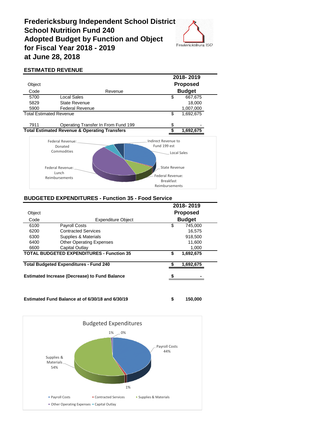## **Fredericksburg Independent School District School Nutrition Fund 240 Adopted Budget by Function and Object for Fiscal Year 2018 - 2019 at June 28, 2018**



## **ESTIMATED REVENUE**

|                                                          | 2018-2019                           |                         |                 |
|----------------------------------------------------------|-------------------------------------|-------------------------|-----------------|
| Object                                                   |                                     |                         | <b>Proposed</b> |
| Code                                                     | Revenue                             |                         | <b>Budget</b>   |
| 5700                                                     | Local Sales                         | \$                      | 667,675         |
| 5829                                                     | <b>State Revenue</b>                |                         | 18,000          |
| 5900                                                     | <b>Federal Revenue</b>              |                         | 1,007,000       |
| <b>Total Estimated Revenue</b>                           |                                     | \$                      | 1,692,675       |
| 7911                                                     | Operating Transfer In From Fund 199 | \$                      |                 |
| <b>Total Estimated Revenue &amp; Operating Transfers</b> |                                     |                         | 1,692,675       |
|                                                          | Federal Revenue:                    | Indirect Revenue to     |                 |
|                                                          | Donated                             | Fund 199 est            |                 |
|                                                          | Commodities                         | <b>Local Sales</b>      |                 |
|                                                          | Federal Revenue:<br>Lunch           | <b>State Revenue</b>    |                 |
|                                                          | Reimbursements                      | <b>Federal Revenue:</b> |                 |
|                                                          |                                     | <b>Breakfast</b>        |                 |
|                                                          |                                     | Reimbursements          |                 |

#### **BUDGETED EXPENDITURES - Function 35 - Food Service**

|        |                                                      |   | 2018-2019       |  |
|--------|------------------------------------------------------|---|-----------------|--|
| Object |                                                      |   | <b>Proposed</b> |  |
| Code   | <b>Expenditure Object</b>                            |   | <b>Budget</b>   |  |
| 6100   | <b>Payroll Costs</b>                                 | S | 745,000         |  |
| 6200   | <b>Contracted Services</b>                           |   | 16.575          |  |
| 6300   | Supplies & Materials                                 |   | 918,500         |  |
| 6400   | <b>Other Operating Expenses</b>                      |   | 11,600          |  |
| 6600   | Capital Outlay                                       |   | 1,000           |  |
|        | <b>TOTAL BUDGETED EXPENDITURES - Function 35</b>     | S | 1,692,675       |  |
|        | <b>Total Budgeted Expenditures - Fund 240</b>        |   | 1,692,675       |  |
|        | <b>Estimated Increase (Decrease) to Fund Balance</b> | S |                 |  |

**Estimated Fund Balance at of 6/30/18 and 6/30/19 \$ 150,000**